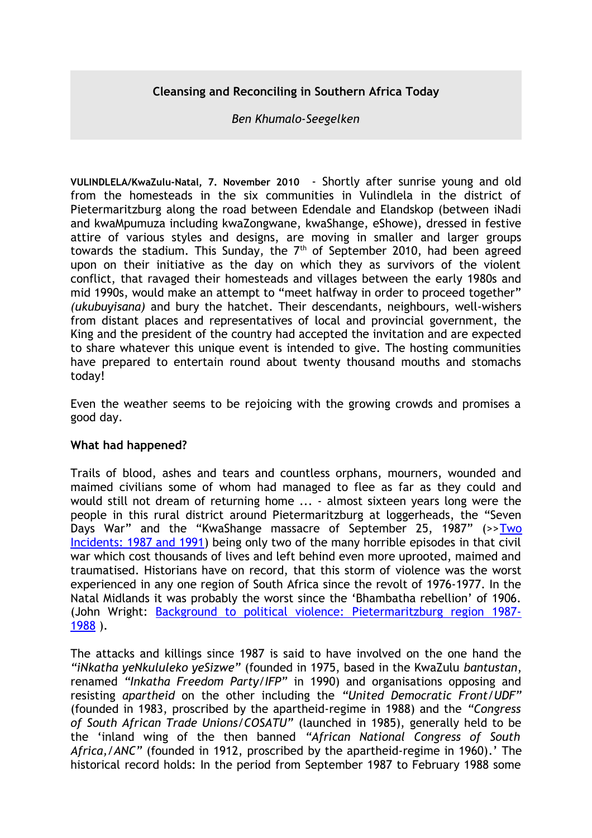# **Cleansing and Reconciling in Southern Africa Today**

# *Ben Khumalo-Seegelken*

**VULINDLELA/KwaZulu-Natal, 7. November 2010** - Shortly after sunrise young and old from the homesteads in the six communities in Vulindlela in the district of Pietermaritzburg along the road between Edendale and Elandskop (between iNadi and kwaMpumuza including kwaZongwane, kwaShange, eShowe), dressed in festive attire of various styles and designs, are moving in smaller and larger groups towards the stadium. This Sunday, the  $7<sup>th</sup>$  of September 2010, had been agreed upon on their initiative as the day on which they as survivors of the violent conflict, that ravaged their homesteads and villages between the early 1980s and mid 1990s, would make an attempt to "meet halfway in order to proceed together" *(ukubuyisana)* and bury the hatchet. Their descendants, neighbours, well-wishers from distant places and representatives of local and provincial government, the King and the president of the country had accepted the invitation and are expected to share whatever this unique event is intended to give. The hosting communities have prepared to entertain round about twenty thousand mouths and stomachs today!

Even the weather seems to be rejoicing with the growing crowds and promises a good day.

# **What had happened?**

Trails of blood, ashes and tears and countless orphans, mourners, wounded and maimed civilians some of whom had managed to flee as far as they could and would still not dream of returning home ... - almost sixteen years long were the people in this rural district around Pietermaritzburg at loggerheads, the "Seven Days War" and the "KwaShange massacre of September 25, 1987" (>>[Two](http://www.benkhumalo-seegelken.de/dokumente/UkuBuyisana-in-Southern-Africa-Today-Perceptions-and-Attempts.doc) [Incidents: 1987 and 1991\)](http://www.benkhumalo-seegelken.de/dokumente/UkuBuyisana-in-Southern-Africa-Today-Perceptions-and-Attempts.doc) being only two of the many horrible episodes in that civil war which cost thousands of lives and left behind even more uprooted, maimed and traumatised. Historians have on record, that this storm of violence was the worst experienced in any one region of South Africa since the revolt of 1976-1977. In the Natal Midlands it was probably the worst since the 'Bhambatha rebellion' of 1906. (John Wright: [Background to political violence: Pietermaritzburg region 1987-](http://www.benkhumalo-seegelken.de/dokumente/Background-to-political-violence.doc) [1988](http://www.benkhumalo-seegelken.de/dokumente/Background-to-political-violence.doc) ).

The attacks and killings since 1987 is said to have involved on the one hand the *"iNkatha yeNkululeko yeSizwe"* (founded in 1975, based in the KwaZulu *bantustan*, renamed *"Inkatha Freedom Party/IFP"* in 1990) and organisations opposing and resisting *apartheid* on the other including the *"United Democratic Front/UDF"* (founded in 1983, proscribed by the apartheid-regime in 1988) and the *"Congress of South African Trade Unions/COSATU"* (launched in 1985), generally held to be the 'inland wing of the then banned *"African National Congress of South Africa,/ANC"* (founded in 1912, proscribed by the apartheid-regime in 1960)*.*' The historical record holds: In the period from September 1987 to February 1988 some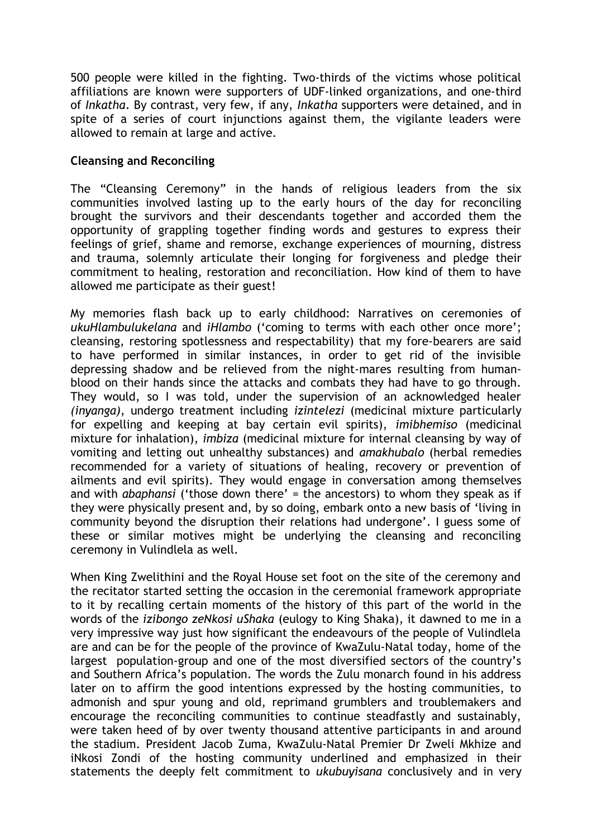500 people were killed in the fighting. Two-thirds of the victims whose political affiliations are known were supporters of UDF-linked organizations, and one-third of *Inkatha*. By contrast, very few, if any, *Inkatha* supporters were detained, and in spite of a series of court injunctions against them, the vigilante leaders were allowed to remain at large and active.

# **Cleansing and Reconciling**

The "Cleansing Ceremony" in the hands of religious leaders from the six communities involved lasting up to the early hours of the day for reconciling brought the survivors and their descendants together and accorded them the opportunity of grappling together finding words and gestures to express their feelings of grief, shame and remorse, exchange experiences of mourning, distress and trauma, solemnly articulate their longing for forgiveness and pledge their commitment to healing, restoration and reconciliation. How kind of them to have allowed me participate as their guest!

My memories flash back up to early childhood: Narratives on ceremonies of *ukuHlambulukelana* and *iHlambo* ('coming to terms with each other once more'; cleansing, restoring spotlessness and respectability) that my fore-bearers are said to have performed in similar instances, in order to get rid of the invisible depressing shadow and be relieved from the night-mares resulting from humanblood on their hands since the attacks and combats they had have to go through. They would, so I was told, under the supervision of an acknowledged healer *(inyanga)*, undergo treatment including *izintelezi* (medicinal mixture particularly for expelling and keeping at bay certain evil spirits), *imibhemiso* (medicinal mixture for inhalation), *imbiza* (medicinal mixture for internal cleansing by way of vomiting and letting out unhealthy substances) and *amakhubalo* (herbal remedies recommended for a variety of situations of healing, recovery or prevention of ailments and evil spirits). They would engage in conversation among themselves and with *abaphansi* ('those down there' = the ancestors) to whom they speak as if they were physically present and, by so doing, embark onto a new basis of 'living in community beyond the disruption their relations had undergone'. I guess some of these or similar motives might be underlying the cleansing and reconciling ceremony in Vulindlela as well.

When King Zwelithini and the Royal House set foot on the site of the ceremony and the recitator started setting the occasion in the ceremonial framework appropriate to it by recalling certain moments of the history of this part of the world in the words of the *izibongo zeNkosi uShaka* (eulogy to King Shaka), it dawned to me in a very impressive way just how significant the endeavours of the people of Vulindlela are and can be for the people of the province of KwaZulu-Natal today, home of the largest population-group and one of the most diversified sectors of the country's and Southern Africa's population. The words the Zulu monarch found in his address later on to affirm the good intentions expressed by the hosting communities, to admonish and spur young and old, reprimand grumblers and troublemakers and encourage the reconciling communities to continue steadfastly and sustainably, were taken heed of by over twenty thousand attentive participants in and around the stadium. President Jacob Zuma, KwaZulu-Natal Premier Dr Zweli Mkhize and iNkosi Zondi of the hosting community underlined and emphasized in their statements the deeply felt commitment to *ukubuyisana* conclusively and in very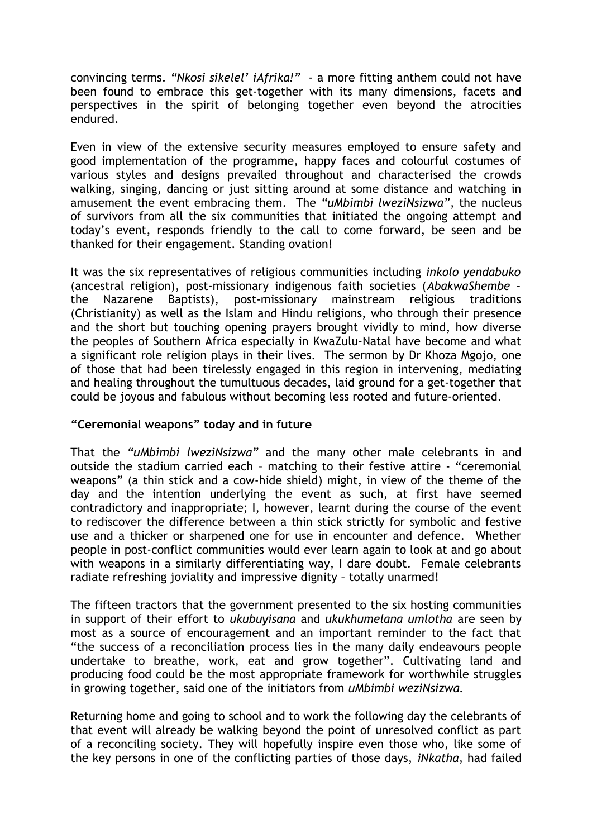convincing terms. *"Nkosi sikelel' iAfrika!"* - a more fitting anthem could not have been found to embrace this get-together with its many dimensions, facets and perspectives in the spirit of belonging together even beyond the atrocities endured.

Even in view of the extensive security measures employed to ensure safety and good implementation of the programme, happy faces and colourful costumes of various styles and designs prevailed throughout and characterised the crowds walking, singing, dancing or just sitting around at some distance and watching in amusement the event embracing them. The *"uMbimbi lweziNsizwa"*, the nucleus of survivors from all the six communities that initiated the ongoing attempt and today's event, responds friendly to the call to come forward, be seen and be thanked for their engagement. Standing ovation!

It was the six representatives of religious communities including *inkolo yendabuko* (ancestral religion), post-missionary indigenous faith societies (*AbakwaShembe –* the Nazarene Baptists), post-missionary mainstream religious traditions (Christianity) as well as the Islam and Hindu religions, who through their presence and the short but touching opening prayers brought vividly to mind, how diverse the peoples of Southern Africa especially in KwaZulu-Natal have become and what a significant role religion plays in their lives. The sermon by Dr Khoza Mgojo, one of those that had been tirelessly engaged in this region in intervening, mediating and healing throughout the tumultuous decades, laid ground for a get-together that could be joyous and fabulous without becoming less rooted and future-oriented.

# **"Ceremonial weapons" today and in future**

That the *"uMbimbi lweziNsizwa"* and the many other male celebrants in and outside the stadium carried each – matching to their festive attire - "ceremonial weapons" (a thin stick and a cow-hide shield) might, in view of the theme of the day and the intention underlying the event as such, at first have seemed contradictory and inappropriate; I, however, learnt during the course of the event to rediscover the difference between a thin stick strictly for symbolic and festive use and a thicker or sharpened one for use in encounter and defence. Whether people in post-conflict communities would ever learn again to look at and go about with weapons in a similarly differentiating way, I dare doubt. Female celebrants radiate refreshing joviality and impressive dignity – totally unarmed!

The fifteen tractors that the government presented to the six hosting communities in support of their effort to *ukubuyisana* and *ukukhumelana umlotha* are seen by most as a source of encouragement and an important reminder to the fact that "the success of a reconciliation process lies in the many daily endeavours people undertake to breathe, work, eat and grow together". Cultivating land and producing food could be the most appropriate framework for worthwhile struggles in growing together, said one of the initiators from *uMbimbi weziNsizwa.*

Returning home and going to school and to work the following day the celebrants of that event will already be walking beyond the point of unresolved conflict as part of a reconciling society. They will hopefully inspire even those who, like some of the key persons in one of the conflicting parties of those days, *iNkatha,* had failed